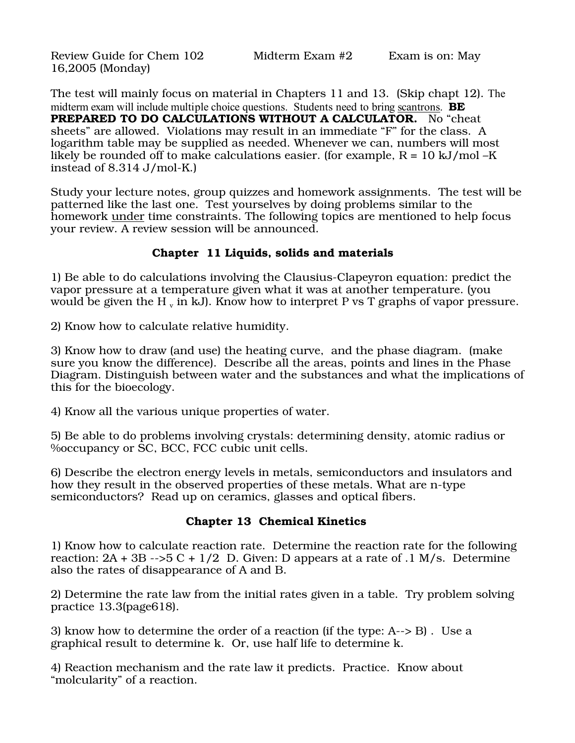Review Guide for Chem 102 Midterm Exam #2 Exam is on: May 16,2005 (Monday)

The test will mainly focus on material in Chapters 11 and 13. (Skip chapt 12). The midterm exam will include multiple choice questions. Students need to bring scantrons.  $\bf BE$ PREPARED TO DO CALCULATIONS WITHOUT A CALCULATOR. No "cheat sheets" are allowed. Violations may result in an immediate "F" for the class. A logarithm table may be supplied as needed. Whenever we can, numbers will most likely be rounded off to make calculations easier. (for example,  $R = 10 \text{ kJ/mol-K}$ instead of 8.314 J/mol-K.)

Study your lecture notes, group quizzes and homework assignments. The test will be patterned like the last one. Test yourselves by doing problems similar to the homework under time constraints. The following topics are mentioned to help focus your review. A review session will be announced.

## Chapter 11 Liquids, solids and materials

1) Be able to do calculations involving the Clausius-Clapeyron equation: predict the vapor pressure at a temperature given what it was at another temperature. (you would be given the H  $_{v}$  in kJ). Know how to interpret P vs T graphs of vapor pressure.

2) Know how to calculate relative humidity.

3) Know how to draw (and use) the heating curve, and the phase diagram. (make sure you know the difference). Describe all the areas, points and lines in the Phase Diagram. Distinguish between water and the substances and what the implications of this for the bioecology.

4) Know all the various unique properties of water.

5) Be able to do problems involving crystals: determining density, atomic radius or %occupancy or SC, BCC, FCC cubic unit cells.

6) Describe the electron energy levels in metals, semiconductors and insulators and how they result in the observed properties of these metals. What are n-type semiconductors? Read up on ceramics, glasses and optical fibers.

## Chapter 13 Chemical Kinetics

1) Know how to calculate reaction rate. Determine the reaction rate for the following reaction:  $2A + 3B -5C + 1/2$  D. Given: D appears at a rate of .1 M/s. Determine also the rates of disappearance of A and B.

2) Determine the rate law from the initial rates given in a table. Try problem solving practice 13.3(page618).

3) know how to determine the order of a reaction (if the type: A--> B) . Use a graphical result to determine k. Or, use half life to determine k.

4) Reaction mechanism and the rate law it predicts. Practice. Know about "molcularity" of a reaction.